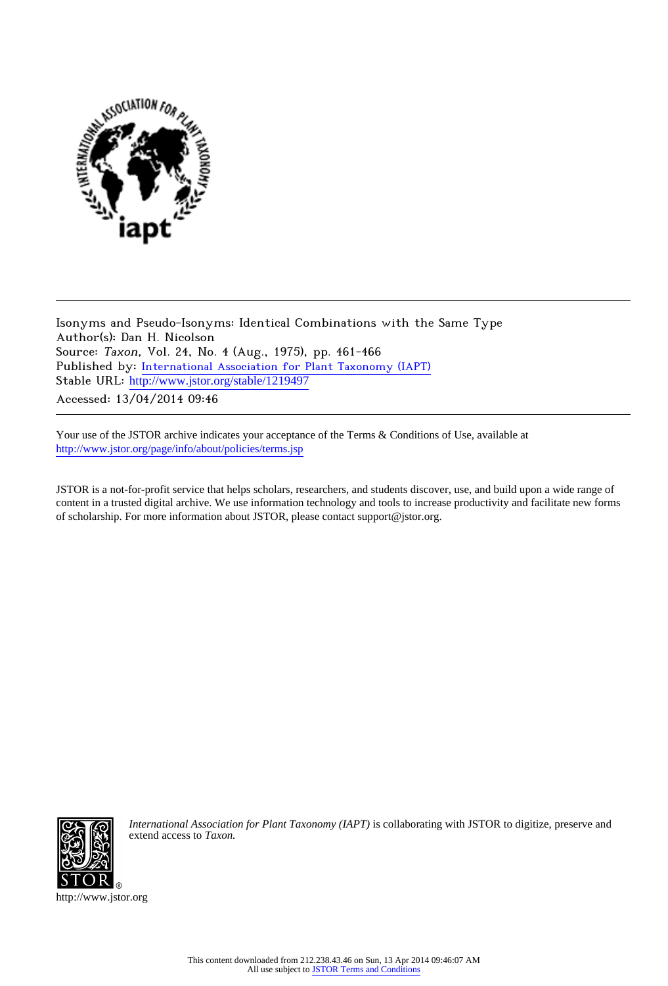

Isonyms and Pseudo-Isonyms: Identical Combinations with the Same Type Author(s): Dan H. Nicolson Source: Taxon, Vol. 24, No. 4 (Aug., 1975), pp. 461-466 Published by: [International Association for Plant Taxonomy \(IAPT\)](http://www.jstor.org/action/showPublisher?publisherCode=iapt) Stable URL: [http://www.jstor.org/stable/1219497](http://www.jstor.org/stable/1219497?origin=JSTOR-pdf) Accessed: 13/04/2014 09:46

Your use of the JSTOR archive indicates your acceptance of the Terms & Conditions of Use, available at <http://www.jstor.org/page/info/about/policies/terms.jsp>

JSTOR is a not-for-profit service that helps scholars, researchers, and students discover, use, and build upon a wide range of content in a trusted digital archive. We use information technology and tools to increase productivity and facilitate new forms of scholarship. For more information about JSTOR, please contact support@jstor.org.



*International Association for Plant Taxonomy (IAPT)* is collaborating with JSTOR to digitize, preserve and extend access to *Taxon.*

http://www.jstor.org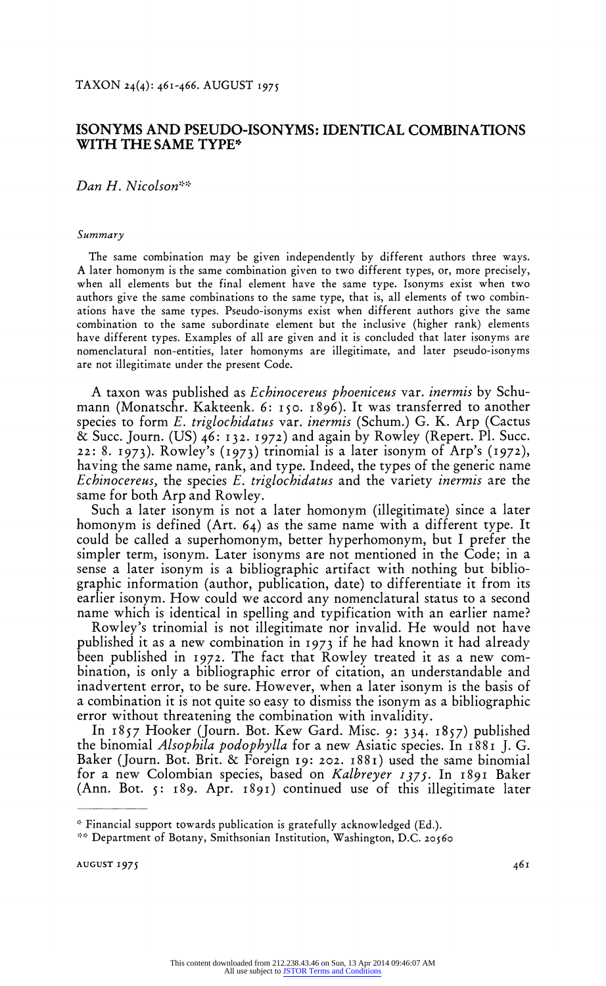## **ISONYMS AND PSEUDO-ISONYMS: IDENTICAL COMBINATIONS WITH THE SAME TYPE\***

**Dan H. Nicolson\*\*** 

## **Summary**

**The same combination may be given independently by different authors three ways. A later homonym is the same combination given to two different types, or, more precisely, when all elements but the final element have the same type. Isonyms exist when two authors give the same combinations to the same type, that is, all elements of two combinations have the same types. Pseudo-isonyms exist when different authors give the same combination to the same subordinate element but the inclusive (higher rank) elements have different types. Examples of all are given and it is concluded that later isonyms are nomenclatural non-entities, later homonyms are illegitimate, and later pseudo-isonyms are not illegitimate under the present Code.** 

**A taxon was published as Echinocereus phoeniceus var. inermis by Schumann (Monatschr. Kakteenk. 6: 150. 1896). It was transferred to another species to form E. triglochidatus var. inermis (Schum.) G. K. Arp (Cactus & Succ. Journ. (US) 46: 132. 1972) and again by Rowley (Repert. P1. Succ. 22: 8. 1973). Rowley's (1973) trinomial is a later isonym of Arp's (1972), having the same name, rank, and type. Indeed, the types of the generic name Echinocereus, the species E. triglochidatus and the variety inermis are the same for both Arp and Rowley.** 

**Such a later isonym is not a later homonym (illegitimate) since a later homonym is defined (Art. 64) as the same name with a different type. It could be called a superhomonym, better hyperhomonym, but I prefer the simpler term, isonym. Later isonyms are not mentioned in the Code; in a sense a later isonym is a bibliographic artifact with nothing but bibliographic information (author, publication, date) to differentiate it from its earlier isonym. How could we accord any nomenclatural status to a second name which is identical in spelling and typification with an earlier name?** 

**Rowley's trinomial is not illegitimate nor invalid. He would not have published it as a new combination in 1973 if he had known it had already been published in i972. The fact that Rowley treated it as a new combination, is only a bibliographic error of citation, an understandable and inadvertent error, to be sure. However, when a later isonym is the basis of a combination it is not quite so easy to dismiss the isonym as a bibliographic error without threatening the combination with invalidity.** 

**In 1857 Hooker (Journ. Bot. Kew Gard. Misc. 9: 334. 1857) published the binomial Alsophila podophylla for a new Asiatic species. In 1881 J. G. Baker (Journ. Bot. Brit. & Foreign I9: 202. 1881) used the same binomial for a new Colombian species, based on Kalbreyer 1375. In 1891 Baker (Ann. Bot. 5: 189. Apr. 1891) continued use of this illegitimate later** 

**AUGUST 1975 461** 

**<sup>\*</sup> Financial support towards publication is gratefully acknowledged (Ed.).** 

**<sup>\*\*</sup>Department of Botany, Smithsonian Institution, Washington, D.C. 20560**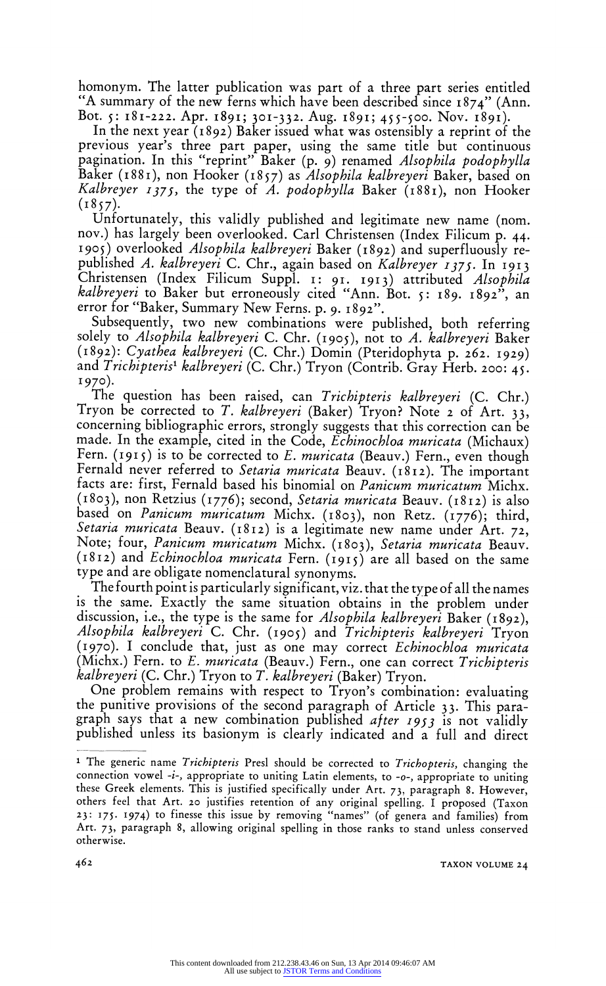**homonym. The latter publication was part of a three part series entitled "A summary of the new ferns which have been described since 1874" (Ann. Bot. 5: 181-222. Apr. 1891; 301-332. Aug. 1891; 455-500. Nov. 1891).** 

**In the next year (1892) Baker issued what was ostensibly a reprint of the previous year's three part paper, using the same title but continuous pagination. In this "reprint" Baker (p. 9) renamed Alsophila podophylla Baker (1881), non Hooker (1857) as Alsophila kalbreyeri Baker, based on Kalbreyer 1375, the type of A. podophylla Baker (i881), non Hooker**   $(1857)$ .

**Unfortunately, this validly published and legitimate new name (nom. nov.) has largely been overlooked. Carl Christensen (Index Filicum p. 44. 1905) overlooked Alsophila kalbreyeri Baker (1892) and superfluously republished A. kalbreyeri C. Chr., again based on Kalbreyer 1375. In 1913**  Christensen (Index Filicum Suppl. 1: 91. 1913) attributed Alsophila **kalbreyeri to Baker but erroneously cited "Ann. Bot. 5 : 89. I 892", an error for "Baker, Summary New Ferns. p. 9. 1892".** 

**Subsequently, two new combinations were published, both referring solely to Alsophila kalbreyeri C. Chr. (90o5), not to A. kalbreyeri Baker (1892): Cyathea kalbreyeri (C. Chr.) Domin (Pteridophyta p. 262. 1929) and Trichipteris1 kalbreyeri (C. Chr.) Tryon (Contrib. Gray Herb. 200: 45. 1970).** 

**The question has been raised, can Trichipteris kalbreyeri (C. Chr.) Tryon be corrected to T. kalbreyeri (Baker) Tryon? Note 2 of Art. 33, concerning bibliographic errors, strongly suggests that this correction can be made. In the example, cited in the Code, Echinochloa muricata (Michaux) Fern. (1915) is to be corrected to E. muricata (Beauv.) Fern., even though**  facts are: first, Fernald based his binomial on Panicum muricatum Michx. **(1803), non Retzius (1776); second, Setaria muricata Beauv. (1812) is also based on Panicum muricatum Michx. (I803), non Retz. (1776); third, Setaria muricata Beauv. (1812) is a legitimate new name under Art. 72, Note; four, Panicum muricatum Michx. (1803), Setaria muricata Beauv. (1812) and Echinochloa muricata Fern. (1915) are all based on the same type and are obligate nomenclatural synonyms.** 

**The fourth point is particularly significant, viz. that the type of all the names is the same. Exactly the same situation obtains in the problem under discussion, i.e., the type is the same for Alsophila kalbreyeri Baker (1892), Alsophila kalbreyeri C. Chr. (I905) and Trichipteris kalbreyeri Tryon (1970). I conclude that, just as one may correct Echinochloa muricata (Michx.) Fern. to E. muricata (Beauv.) Fern., one can correct Trichipteris kalbreyeri (C. Chr.) Tryon to T. kalbreyeri (Baker) Tryon.** 

the punitive provisions of the second paragraph of Article 33. This para**graph says that a new combination published after 1953 is not validly published unless its basionym is clearly indicated and a full and direct** 

**462 TAXON VOLUME 24** 

**<sup>1</sup> The generic name Trichipteris Presl should be corrected to Trichopteris, changing the connection vowel -i-, appropriate to uniting Latin elements, to -o-, appropriate to uniting these Greek elements. This is justified specifically under Art. 73, paragraph 8. However, others feel that Art. 20 justifies retention of any original spelling. I proposed (Taxon 23: 175. 1974) to finesse this issue by removing "names" (of genera and families) from Art. 73, paragraph 8, allowing original spelling in those ranks to stand unless conserved otherwise.**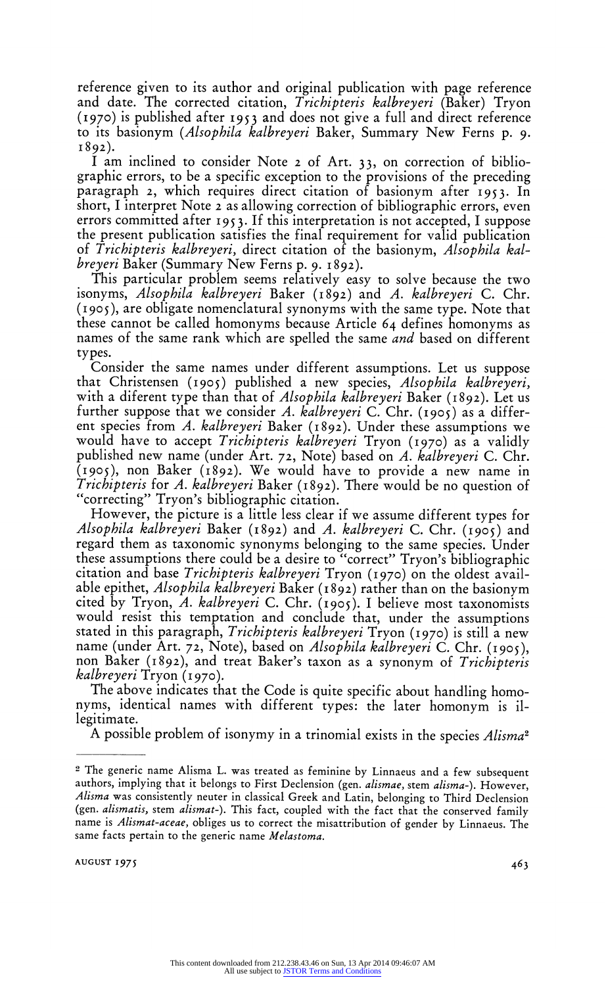**reference given to its author and original publication with page reference and date. The corrected citation, Trichipteris kalbreyeri (Baker) Tryon (1970) is published after 1953 and does not give a full and direct reference to its basionym (Alsophila kalbreyeri Baker, Summary New Ferns p. 9. 1892).** 

**I am inclined to consider Note 2 of Art. 33, on correction of bibliographic errors, to be a specific exception to the provisions of the preceding paragraph 2, which requires direct citation of basionym after 1953. In short, I interpret Note 2 as allowing correction of bibliographic errors, even errors committed after 1953. If this interpretation is not accepted, I suppose the present publication satisfies the final requirement for valid publication of Trichipteris kalbreyeri, direct citation of the basionym, Alsophila kalbreyeri Baker (Summary New Ferns p. 9. 1892).** 

**This particular problem seems relatively easy to solve because the two isonyms, Alsophila kalbreyeri Baker (1892) and A. kalbreyeri C. Chr. ( 905), are obligate nomenclatural synonyms with the same type. Note that these cannot be called homonyms because Article 64 defines homonyms as names of the same rank which are spelled the same and based on different types.** 

**Consider the same names under different assumptions. Let us suppose that Christensen (I905) published a new species, Alsophila kalbreyeri, with a diferent type than that of Alsophila kalbreyeri Baker (1892). Let us further suppose that we consider A. kalbreyeri C. Chr. (I905) as a different species from A. kalbreyeri Baker (I892). Under these assumptions we would have to accept Trichipteris kalbreyeri Tryon (I970) as a validly published new name (under Art. 72, Note) based on A. kalbreyeri C. Chr. (1905), non Baker (1892). We would have to provide a new name in Trichipteris for A. kalbreyeri Baker (1892). There would be no question of "correcting" Tryon's bibliographic citation.** 

**However, the picture is a little less clear if we assume different types for Alsophila kalbreyeri Baker (1892) and A. kalbreyeri C. Chr. (I905) and regard them as taxonomic synonyms belonging to the same species. Under these assumptions there could be a desire to "correct" Tryon's bibliographic citation and base Trichipteris kalbreyeri Tryon (1970) on the oldest available epithet, Alsophila kalbreyeri Baker (1892) rather than on the basionym cited by Tryon, A. kalbreyeri C. Chr. (I905). I believe most taxonomists would resist this temptation and conclude that, under the assumptions stated in this paragraph, Trichipteris kalbreyeri Tryon (1970) is still a new**  non Baker (1892), and treat Baker's taxon as a synonym of Trichipteris **kalbreyeri Tryon (1970).** 

**The above indicates that the Code is quite specific about handling homonyms, identical names with different types: the later homonym is illegitimate.** 

**A possible problem of isonymy in a trinomial exists in the species Alisma2** 

**<sup>2</sup>The generic name Alisma L. was treated as feminine by Linnaeus and a few subsequent authors, implying that it belongs to First Declension (gen. alismae, stem alisma-). However, Alisma was consistently neuter in classical Greek and Latin, belonging to Third Declension (gen. alismatis, stem alismat-). This fact, coupled with the fact that the conserved family name is Alismat-aceae, obliges us to correct the misattribution of gender by Linnaeus. The same facts pertain to the generic name Melastoma.**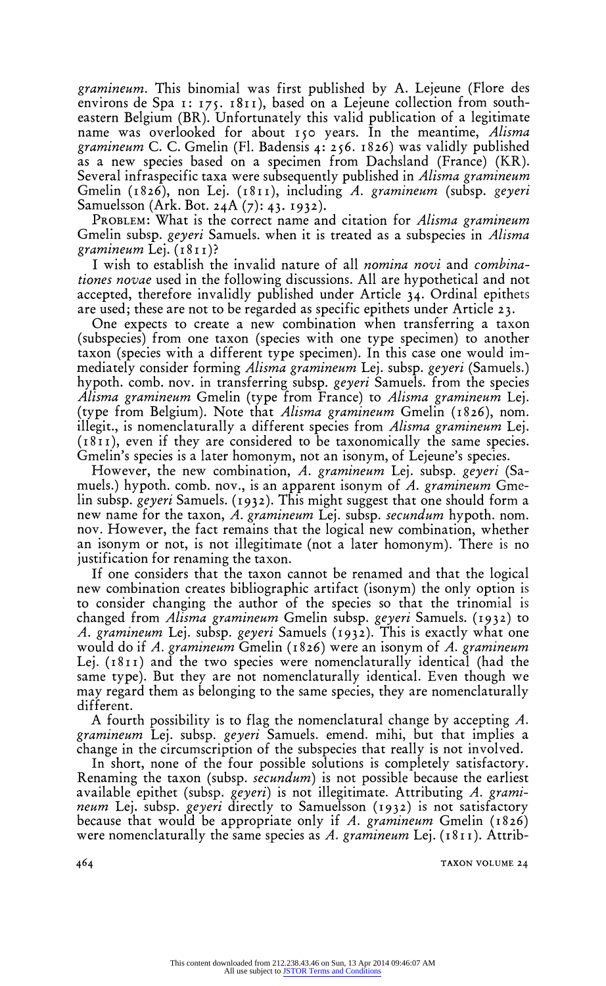**gramineum. This binomial was first published by A. Lejeune (Flore des environs de Spa I: 175. 1811), based on a Lejeune collection from southeastern Belgium (BR). Unfortunately this valid publication of a legitimate name was overlooked for about 150 years. In the meantime, Alisma gramineum C. C. Gmelin (Fl. Badensis 4: 256. 1826) was validly published as a new species based on a specimen from Dachsland (France) (KR). Several infraspecific taxa were subsequently published in Alisma gramineum Gmelin (1826), non Lej. (1811), including A. gramineum (subsp. geyeri Samuelsson (Ark. Bot. 24A (7): 43. 1932).** 

**PROBLEM: What is the correct name and citation for Alisma gramineum Gmelin subsp. geyeri Samuels. when it is treated as a subspecies in Alisma gramineum Lej. (181i)?** 

**I wish to establish the invalid nature of all nomina novi and combinationes novae used in the following discussions. All are hypothetical and not accepted, therefore invalidly published under Article 34. Ordinal epithets are used; these are not to be regarded as specific epithets under Article 23.** 

**One expects to create a new combination when transferring a taxon (subspecies) from one taxon (species with one type specimen) to another taxon (species with a different type specimen). In this case one would immediately consider forming Alisma gramineum Lej. subsp. geyeri (Samuels.) hypoth. comb. nov. in transferring subsp. geyeri Samuels. from the species Alisma gramineum Gmelin (type from France) to Alisma gramineum Lej. (type from Belgium). Note that Alisma gramineum Gmelin (1826), nom. illegit., is nomenclaturally a different species from Alisma gramineum Lej. (1811), even if they are considered to be taxonomically the same species. Gmelin's species is a later homonym, not an isonym, of Lejeune's species.** 

**However, the new combination, A. gramineum Lej. subsp. geyeri (Samuels.) hypoth. comb. nov., is an apparent isonym of A. gramineum Gmelin subsp. geyeri Samuels. (1932). This might suggest that one should form a new name for the taxon, A. gramineum Lej. subsp. secundum hypoth. nom. nov. However, the fact remains that the logical new combination, whether an isonym or not, is not illegitimate (not a later homonym). There is no justification for renaming the taxon.** 

**If one considers that the taxon cannot be renamed and that the logical new combination creates bibliographic artifact (isonym) the only option is to consider changing the author of the species so that the trinomial is changed from Alisma gramineum Gmelin subsp. geyeri Samuels. (1932) to A. gramineum Lej. subsp. geyeri Samuels (I932). This is exactly what one would do if A. gramineum Gmelin (1826) were an isonym of A. gramineum Lej. (1811) and the two species were nomenclaturally identical (had the same type). But they are not nomenclaturally identical. Even though we may regard them as belonging to the same species, they are nomenclaturally different.** 

**A fourth possibility is to flag the nomenclatural change by accepting A. gramineum Lej. subsp. geyeri Samuels. emend. mihi, but that implies a change in the circumscription of the subspecies that really is not involved.** 

**In short, none of the four possible solutions is completely satisfactory. Renaming the taxon (subsp. secundum) is not possible because the earliest available epithet (subsp. geyeri) is not illegitimate. Attributing A. gramineum Lej. subsp. geyeri directly to Samuelsson (1932) is not satisfactory because that would be appropriate only if A. gramineum Gmelin (1826)**  were nomenclaturally the same species as A. gramineum Lej. (1811). Attrib-

**464 TAXON VOLUME 24**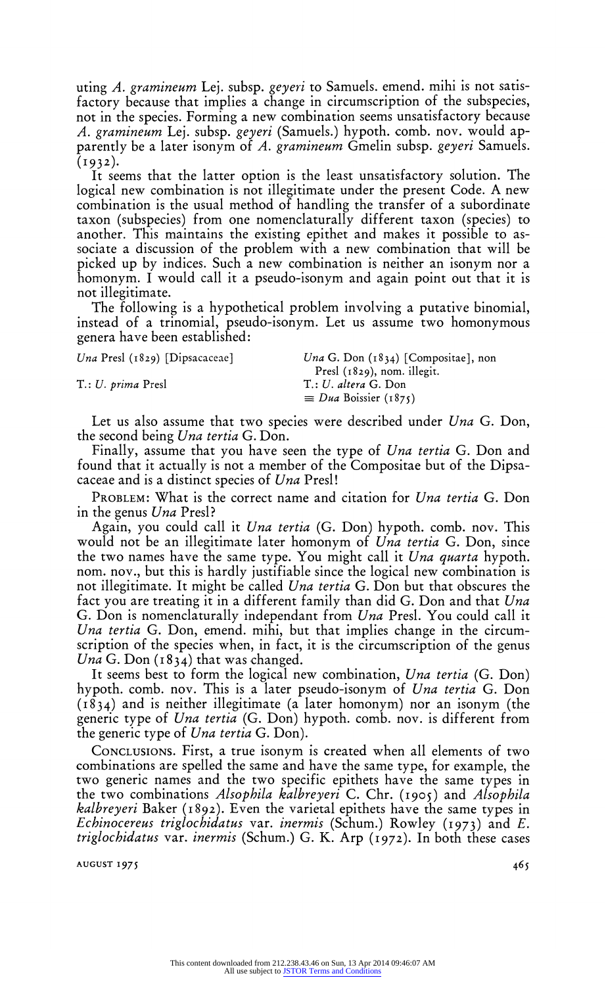**uting A. gramineum Lej. subsp. geyeri to Samuels. emend. mihi is not satisfactory because that implies a change in circumscription of the subspecies, not in the species. Forming a new combination seems unsatisfactory because A. gramineum Lej. subsp. geyeri (Samuels.) hypoth. comb. nov. would apparently be a later isonym of A. gramineum Gmelin subsp. geyeri Samuels. (1932).** 

**It seems that the latter option is the least unsatisfactory solution. The logical new combination is not illegitimate under the present Code. A new combination is the usual method of handling the transfer of a subordinate taxon (subspecies) from one nomenclaturally different taxon (species) to another. This maintains the existing epithet and makes it possible to associate a discussion of the problem with a new combination that will be picked up by indices. Such a new combination is neither an isonym nor a homonym. I would call it a pseudo-isonym and again point out that it is not illegitimate.** 

**The following is a hypothetical problem involving a putative binomial, instead of a trinomial, pseudo-isonym. Let us assume two homonymous genera have been established:** 

| Una Presl (1829) [Dipsacaceae] | Una G. Don $(1834)$ [Compositae], non |
|--------------------------------|---------------------------------------|
|                                | Presl $(1829)$ , nom. illegit.        |
| T.: <i>U. prima</i> Presl      | T.: U. altera G. Don                  |
|                                | $\equiv Dua$ Boissier (1875)          |
|                                |                                       |

**Let us also assume that two species were described under Una G. Don, the second being Una tertia G. Don.** 

**Finally, assume that you have seen the type of Una tertia G. Don and found that it actually is not a member of the Compositae but of the Dipsacaceae and is a distinct species of Una Presl!** 

**PROBLEM: What is the correct name and citation for Una tertia G. Don in the genus Una Presl?** 

**Again, you could call it Una tertia (G. Don) hypoth. comb. nov. This would not be an illegitimate later homonym of Una tertia G. Don, since the two names have the same type. You might call it Una quarta hypoth. nom. nov., but this is hardly justifiable since the logical new combination is not illegitimate. It might be called Una tertia G. Don but that obscures the fact you are treating it in a different family than did G. Don and that Una G. Don is nomenclaturally independant from Una Presl. You could call it Una tertia G. Don, emend. mihi, but that implies change in the circumscription of the species when, in fact, it is the circumscription of the genus Una G. Don (1834) that was changed.** 

**It seems best to form the logical new combination, Una tertia (G. Don) hypoth. comb. nov. This is a later pseudo-isonym of Una tertia G. Don (1834) and is neither illegitimate (a later homonym) nor an isonym (the generic type of Una tertia (G. Don) hypoth. comb. nov. is different from the generic type of Una tertia G. Don).** 

**CONCLUSIONS. First, a true isonym is created when all elements of two combinations are spelled the same and have the same type, for example, the two generic names and the two specific epithets have the same types in the two combinations Alsophila kalbreyeri C. Chr. (90o5) and Alsophila kalbreyeri Baker (1892). Even the varietal epithets have the same types in Echinocereus triglochidatus var. inermis (Schum.) Rowley (1973) and E. triglochidatus var. inermis (Schum.) G. K. Arp (1972). In both these cases** 

**AUGUST 1975 465**